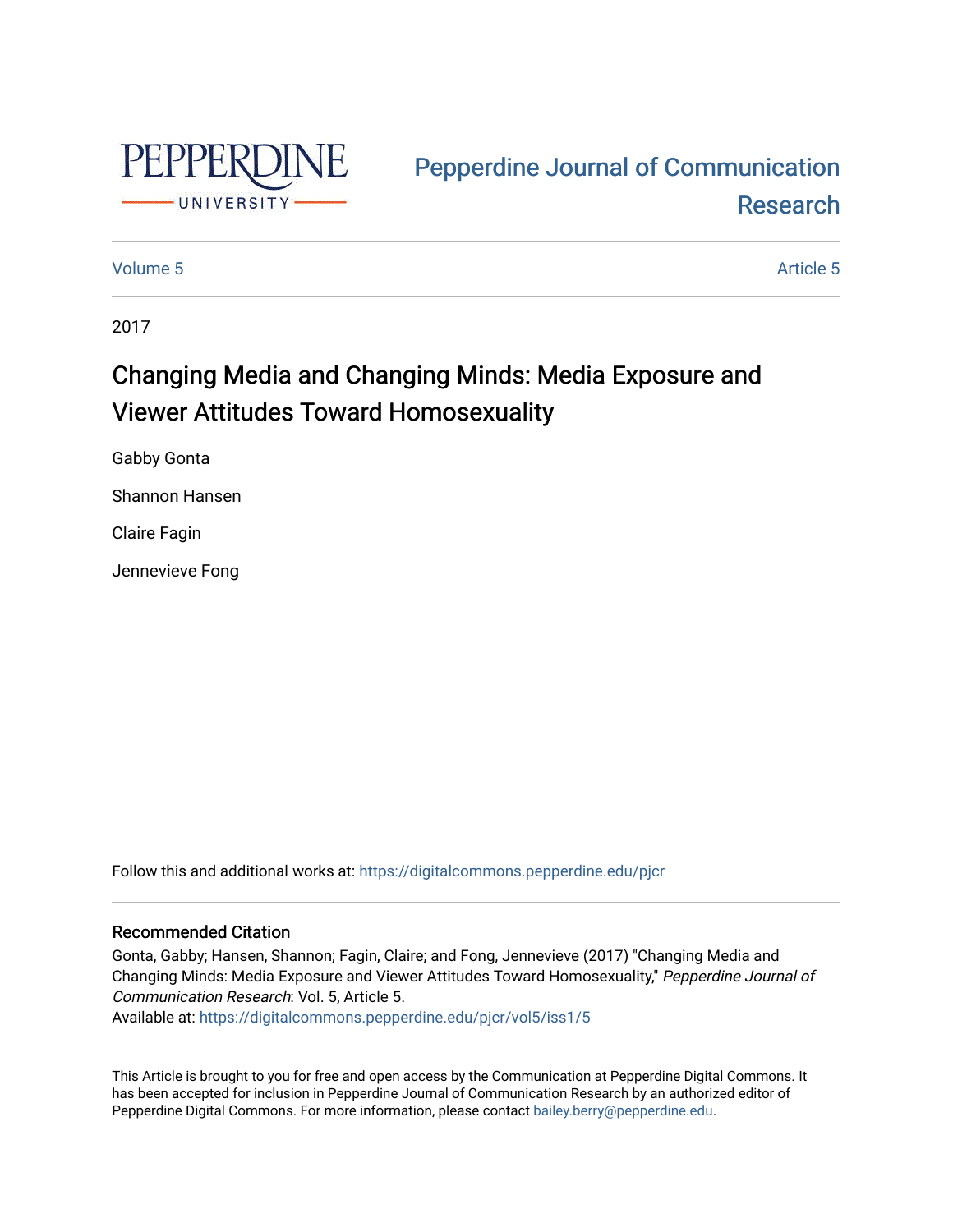

# [Pepperdine Journal of Communication](https://digitalcommons.pepperdine.edu/pjcr)  [Research](https://digitalcommons.pepperdine.edu/pjcr)

# [Volume 5](https://digitalcommons.pepperdine.edu/pjcr/vol5) Article 5

2017

# Changing Media and Changing Minds: Media Exposure and Viewer Attitudes Toward Homosexuality

Gabby Gonta

Shannon Hansen

Claire Fagin

Jennevieve Fong

Follow this and additional works at: [https://digitalcommons.pepperdine.edu/pjcr](https://digitalcommons.pepperdine.edu/pjcr?utm_source=digitalcommons.pepperdine.edu%2Fpjcr%2Fvol5%2Fiss1%2F5&utm_medium=PDF&utm_campaign=PDFCoverPages)

# Recommended Citation

Gonta, Gabby; Hansen, Shannon; Fagin, Claire; and Fong, Jennevieve (2017) "Changing Media and Changing Minds: Media Exposure and Viewer Attitudes Toward Homosexuality," Pepperdine Journal of Communication Research: Vol. 5, Article 5.

Available at: [https://digitalcommons.pepperdine.edu/pjcr/vol5/iss1/5](https://digitalcommons.pepperdine.edu/pjcr/vol5/iss1/5?utm_source=digitalcommons.pepperdine.edu%2Fpjcr%2Fvol5%2Fiss1%2F5&utm_medium=PDF&utm_campaign=PDFCoverPages) 

This Article is brought to you for free and open access by the Communication at Pepperdine Digital Commons. It has been accepted for inclusion in Pepperdine Journal of Communication Research by an authorized editor of Pepperdine Digital Commons. For more information, please contact [bailey.berry@pepperdine.edu](mailto:bailey.berry@pepperdine.edu).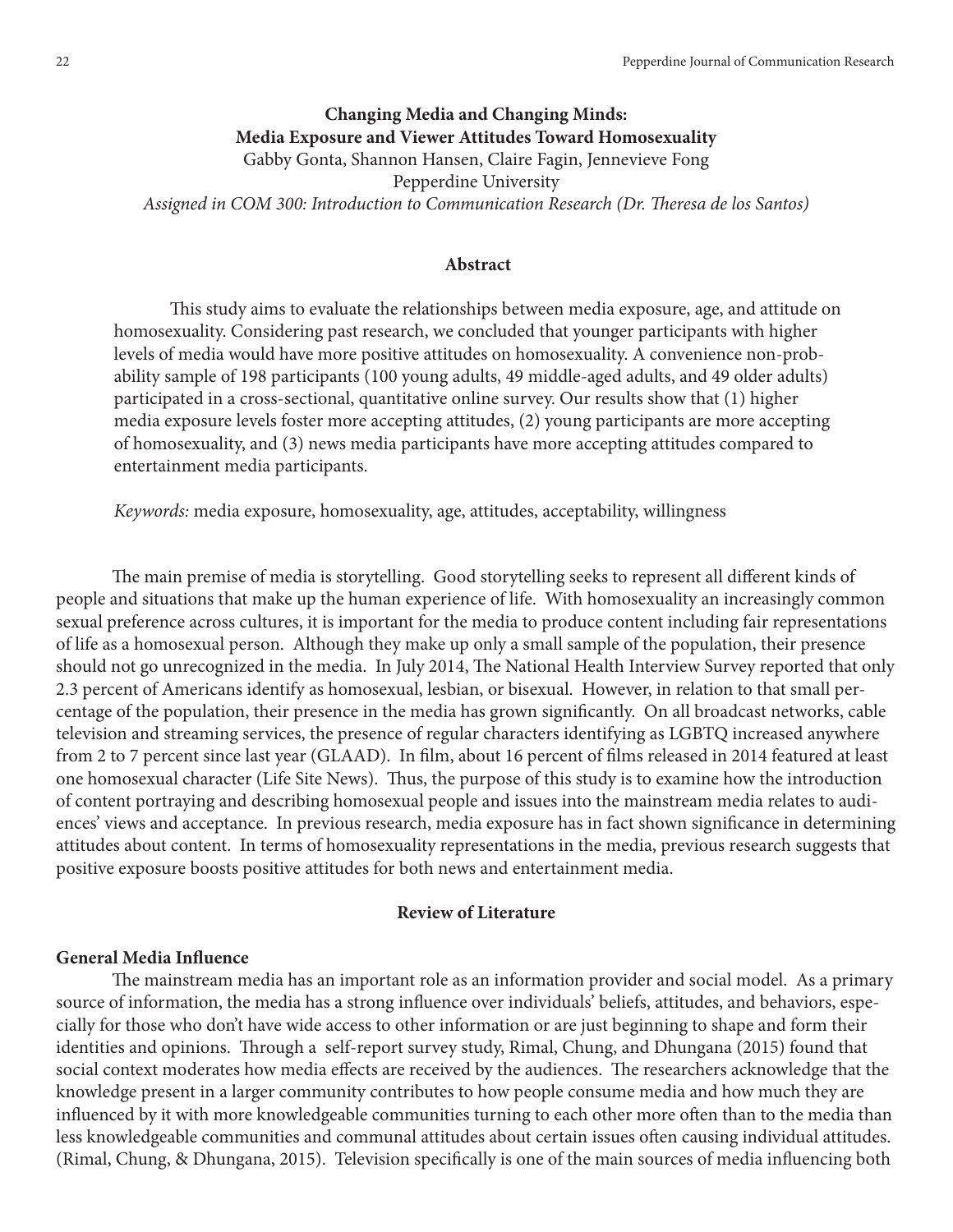# **Changing Media and Changing Minds: Media Exposure and Viewer Attitudes Toward Homosexuality** Gabby Gonta, Shannon Hansen, Claire Fagin, Jennevieve Fong Pepperdine University Assigned in COM 300: Introduction to Communication Research (Dr. Theresa de los Santos)

# **Abstract**

This study aims to evaluate the relationships between media exposure, age, and attitude on homosexuality. Considering past research, we concluded that younger participants with higher levels of media would have more positive attitudes on homosexuality. A convenience non-probability sample of 198 participants (100 young adults, 49 middle-aged adults, and 49 older adults) participated in a cross-sectional, quantitative online survey. Our results show that (1) higher media exposure levels foster more accepting attitudes, (2) young participants are more accepting of homosexuality, and (3) news media participants have more accepting attitudes compared to entertainment media participants.

*Keywords:* media exposure, homosexuality, age, attitudes, acceptability, willingness

The main premise of media is storytelling. Good storytelling seeks to represent all different kinds of people and situations that make up the human experience of life. With homosexuality an increasingly common sexual preference across cultures, it is important for the media to produce content including fair representations of life as a homosexual person. Although they make up only a small sample of the population, their presence should not go unrecognized in the media. In July 2014, The National Health Interview Survey reported that only 2.3 percent of Americans identify as homosexual, lesbian, or bisexual. However, in relation to that small percentage of the population, their presence in the media has grown signifcantly. On all broadcast networks, cable television and streaming services, the presence of regular characters identifying as LGBTQ increased anywhere from 2 to 7 percent since last year (GLAAD). In flm, about 16 percent of flms released in 2014 featured at least one homosexual character (Life Site News). Thus, the purpose of this study is to examine how the introduction of content portraying and describing homosexual people and issues into the mainstream media relates to audiences' views and acceptance. In previous research, media exposure has in fact shown signifcance in determining attitudes about content. In terms of homosexuality representations in the media, previous research suggests that positive exposure boosts positive attitudes for both news and entertainment media.

#### **Review of Literature**

# **General Media Infuence**

The mainstream media has an important role as an information provider and social model. As a primary source of information, the media has a strong infuence over individuals' beliefs, attitudes, and behaviors, especially for those who don't have wide access to other information or are just beginning to shape and form their identities and opinions. Through a self-report survey study, Rimal, Chung, and Dhungana (2015) found that social context moderates how media effects are received by the audiences. The researchers acknowledge that the knowledge present in a larger community contributes to how people consume media and how much they are infuenced by it with more knowledgeable communities turning to each other more ofen than to the media than less knowledgeable communities and communal attitudes about certain issues ofen causing individual attitudes. (Rimal, Chung, & Dhungana, 2015). Television specifcally is one of the main sources of media infuencing both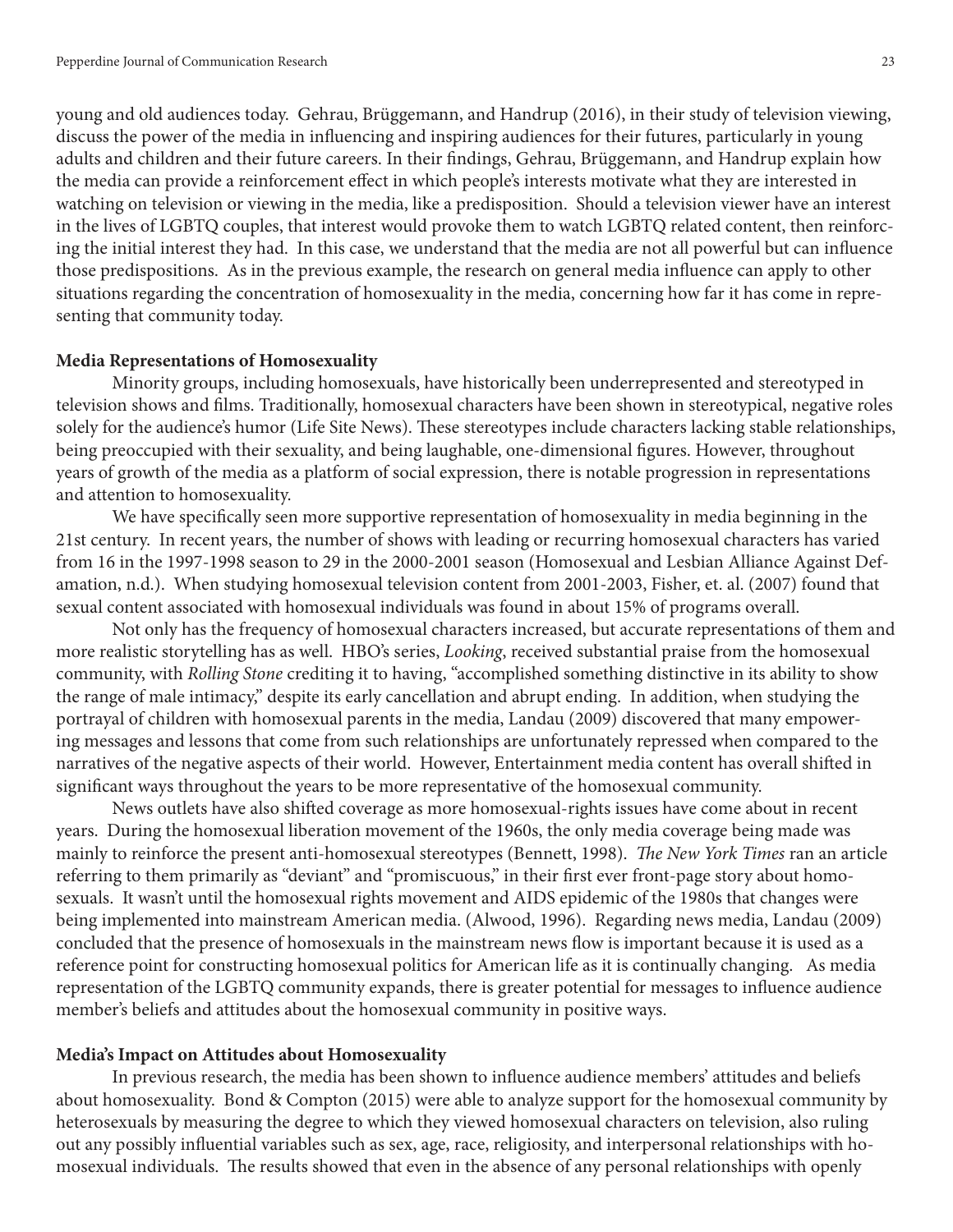young and old audiences today. Gehrau, Brüggemann, and Handrup (2016), in their study of television viewing, discuss the power of the media in infuencing and inspiring audiences for their futures, particularly in young adults and children and their future careers. In their fndings, Gehrau, Brüggemann, and Handrup explain how the media can provide a reinforcement efect in which people's interests motivate what they are interested in watching on television or viewing in the media, like a predisposition. Should a television viewer have an interest in the lives of LGBTQ couples, that interest would provoke them to watch LGBTQ related content, then reinforcing the initial interest they had. In this case, we understand that the media are not all powerful but can infuence those predispositions. As in the previous example, the research on general media infuence can apply to other situations regarding the concentration of homosexuality in the media, concerning how far it has come in representing that community today.

#### **Media Representations of Homosexuality**

Minority groups, including homosexuals, have historically been underrepresented and stereotyped in television shows and flms. Traditionally, homosexual characters have been shown in stereotypical, negative roles solely for the audience's humor (Life Site News). These stereotypes include characters lacking stable relationships, being preoccupied with their sexuality, and being laughable, one-dimensional fgures. However, throughout years of growth of the media as a platform of social expression, there is notable progression in representations and attention to homosexuality.

We have specifcally seen more supportive representation of homosexuality in media beginning in the 21st century. In recent years, the number of shows with leading or recurring homosexual characters has varied from 16 in the 1997-1998 season to 29 in the 2000-2001 season (Homosexual and Lesbian Alliance Against Defamation, n.d.). When studying homosexual television content from 2001-2003, Fisher, et. al. (2007) found that sexual content associated with homosexual individuals was found in about 15% of programs overall.

Not only has the frequency of homosexual characters increased, but accurate representations of them and more realistic storytelling has as well. HBO's series, *Looking*, received substantial praise from the homosexual community, with *Rolling Stone* crediting it to having, "accomplished something distinctive in its ability to show the range of male intimacy," despite its early cancellation and abrupt ending. In addition, when studying the portrayal of children with homosexual parents in the media, Landau (2009) discovered that many empowering messages and lessons that come from such relationships are unfortunately repressed when compared to the narratives of the negative aspects of their world. However, Entertainment media content has overall shifed in signifcant ways throughout the years to be more representative of the homosexual community.

News outlets have also shifed coverage as more homosexual-rights issues have come about in recent years. During the homosexual liberation movement of the 1960s, the only media coverage being made was mainly to reinforce the present anti-homosexual stereotypes (Bennett, 1998). The New York Times ran an article referring to them primarily as "deviant" and "promiscuous," in their frst ever front-page story about homosexuals. It wasn't until the homosexual rights movement and AIDS epidemic of the 1980s that changes were being implemented into mainstream American media. (Alwood, 1996). Regarding news media, Landau (2009) concluded that the presence of homosexuals in the mainstream news fow is important because it is used as a reference point for constructing homosexual politics for American life as it is continually changing. As media representation of the LGBTQ community expands, there is greater potential for messages to infuence audience member's beliefs and attitudes about the homosexual community in positive ways.

#### **Media's Impact on Attitudes about Homosexuality**

In previous research, the media has been shown to infuence audience members' attitudes and beliefs about homosexuality. Bond & Compton (2015) were able to analyze support for the homosexual community by heterosexuals by measuring the degree to which they viewed homosexual characters on television, also ruling out any possibly infuential variables such as sex, age, race, religiosity, and interpersonal relationships with homosexual individuals. The results showed that even in the absence of any personal relationships with openly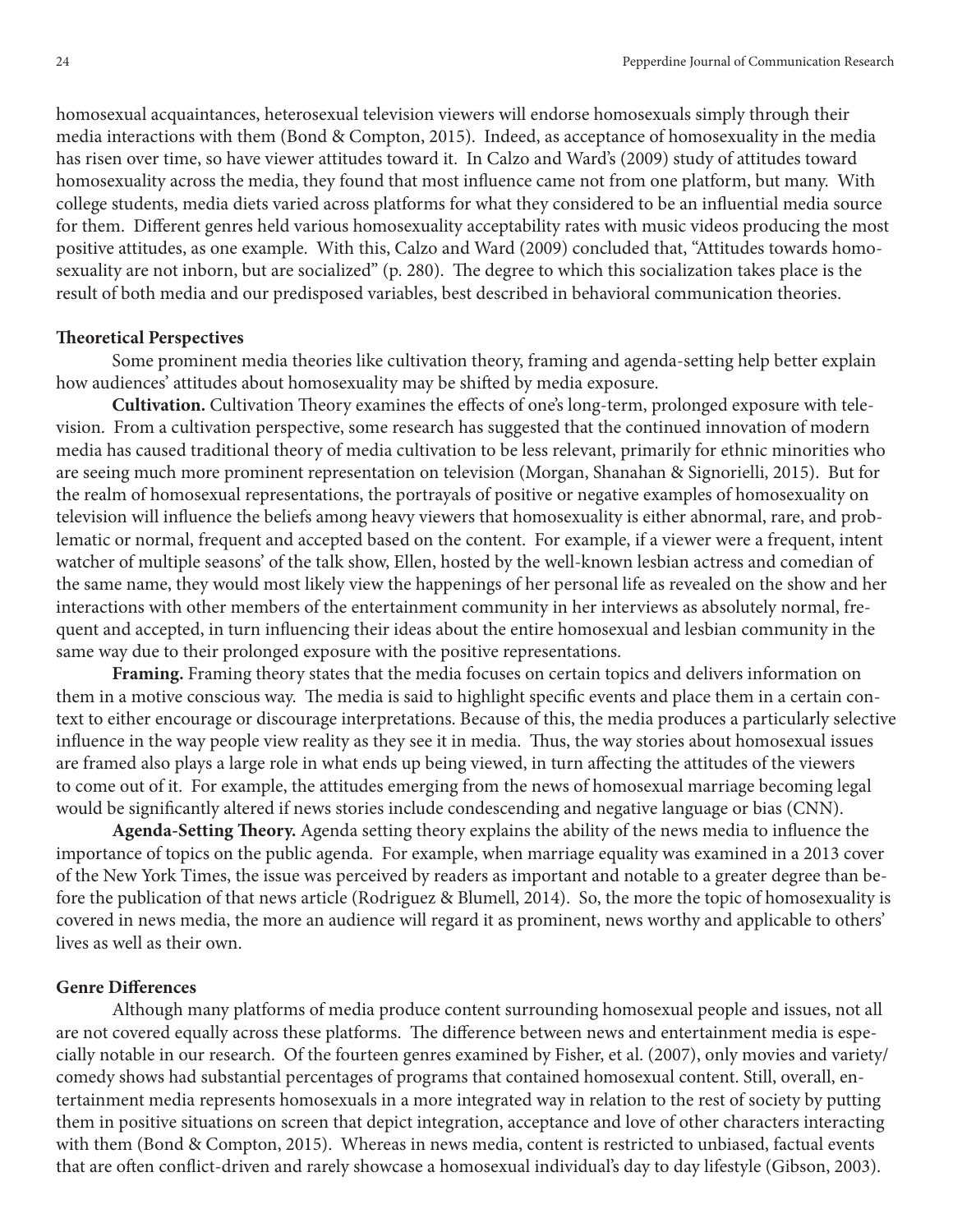homosexual acquaintances, heterosexual television viewers will endorse homosexuals simply through their media interactions with them (Bond & Compton, 2015). Indeed, as acceptance of homosexuality in the media has risen over time, so have viewer attitudes toward it. In Calzo and Ward's (2009) study of attitudes toward homosexuality across the media, they found that most infuence came not from one platform, but many. With college students, media diets varied across platforms for what they considered to be an infuential media source for them. Diferent genres held various homosexuality acceptability rates with music videos producing the most positive attitudes, as one example. With this, Calzo and Ward (2009) concluded that, "Attitudes towards homosexuality are not inborn, but are socialized" (p. 280). The degree to which this socialization takes place is the result of both media and our predisposed variables, best described in behavioral communication theories.

#### **Teoretical Perspectives**

Some prominent media theories like cultivation theory, framing and agenda-setting help better explain how audiences' attitudes about homosexuality may be shifed by media exposure.

**Cultivation.** Cultivation Theory examines the effects of one's long-term, prolonged exposure with television. From a cultivation perspective, some research has suggested that the continued innovation of modern media has caused traditional theory of media cultivation to be less relevant, primarily for ethnic minorities who are seeing much more prominent representation on television (Morgan, Shanahan & Signorielli, 2015). But for the realm of homosexual representations, the portrayals of positive or negative examples of homosexuality on television will infuence the beliefs among heavy viewers that homosexuality is either abnormal, rare, and problematic or normal, frequent and accepted based on the content. For example, if a viewer were a frequent, intent watcher of multiple seasons' of the talk show, Ellen, hosted by the well-known lesbian actress and comedian of the same name, they would most likely view the happenings of her personal life as revealed on the show and her interactions with other members of the entertainment community in her interviews as absolutely normal, frequent and accepted, in turn infuencing their ideas about the entire homosexual and lesbian community in the same way due to their prolonged exposure with the positive representations.

**Framing.** Framing theory states that the media focuses on certain topics and delivers information on them in a motive conscious way. The media is said to highlight specific events and place them in a certain context to either encourage or discourage interpretations. Because of this, the media produces a particularly selective infuence in the way people view reality as they see it in media. Tus, the way stories about homosexual issues are framed also plays a large role in what ends up being viewed, in turn afecting the attitudes of the viewers to come out of it. For example, the attitudes emerging from the news of homosexual marriage becoming legal would be signifcantly altered if news stories include condescending and negative language or bias (CNN).

**Agenda-Setting Teory.** Agenda setting theory explains the ability of the news media to infuence the importance of topics on the public agenda. For example, when marriage equality was examined in a 2013 cover of the New York Times, the issue was perceived by readers as important and notable to a greater degree than before the publication of that news article (Rodriguez & Blumell, 2014). So, the more the topic of homosexuality is covered in news media, the more an audience will regard it as prominent, news worthy and applicable to others' lives as well as their own.

# **Genre Diferences**

Although many platforms of media produce content surrounding homosexual people and issues, not all are not covered equally across these platforms. The difference between news and entertainment media is especially notable in our research. Of the fourteen genres examined by Fisher, et al. (2007), only movies and variety/ comedy shows had substantial percentages of programs that contained homosexual content. Still, overall, entertainment media represents homosexuals in a more integrated way in relation to the rest of society by putting them in positive situations on screen that depict integration, acceptance and love of other characters interacting with them (Bond & Compton, 2015). Whereas in news media, content is restricted to unbiased, factual events that are often conflict-driven and rarely showcase a homosexual individual's day to day lifestyle (Gibson, 2003).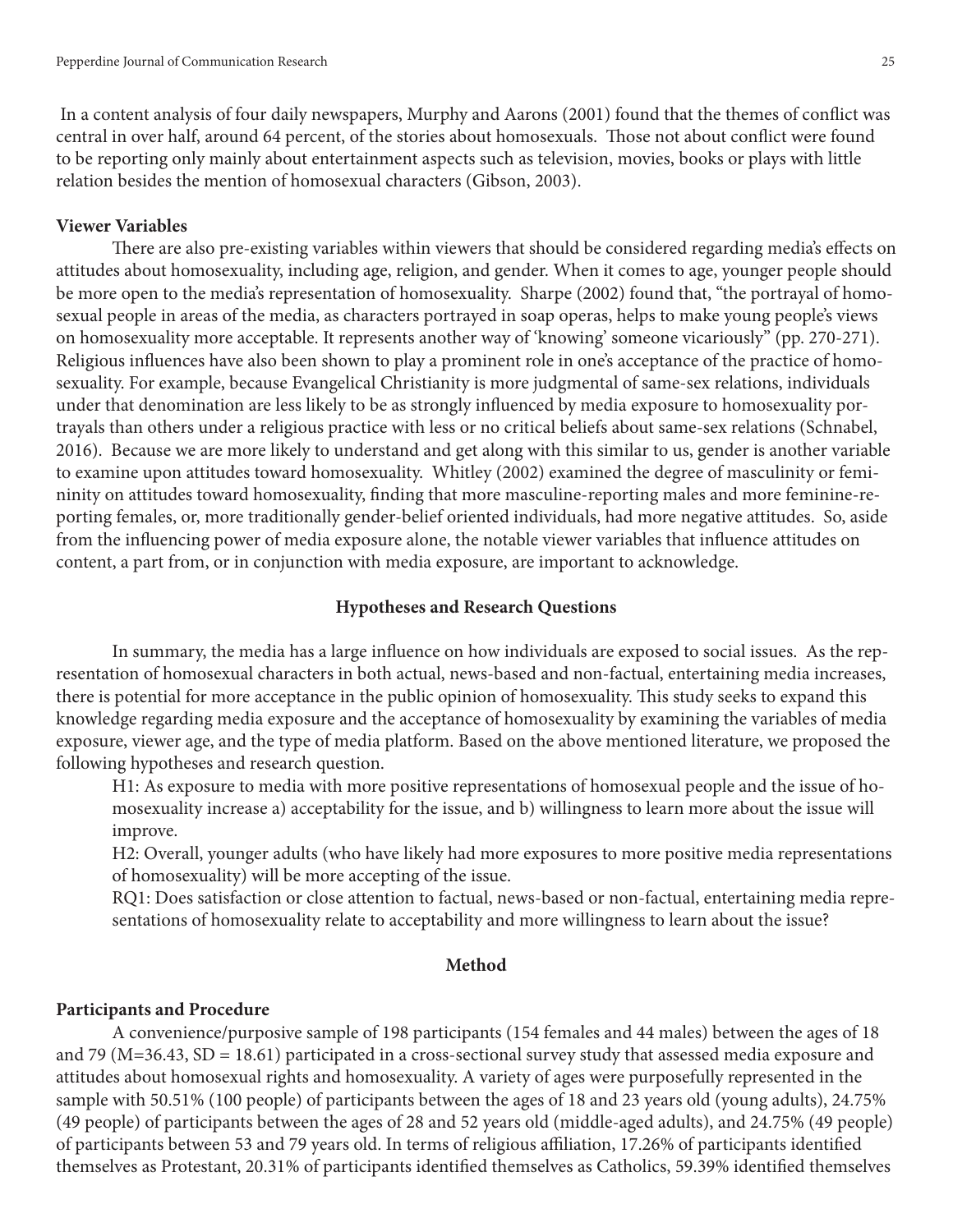In a content analysis of four daily newspapers, Murphy and Aarons (2001) found that the themes of confict was central in over half, around 64 percent, of the stories about homosexuals. Those not about conflict were found to be reporting only mainly about entertainment aspects such as television, movies, books or plays with little relation besides the mention of homosexual characters (Gibson, 2003).

#### **Viewer Variables**

There are also pre-existing variables within viewers that should be considered regarding media's effects on attitudes about homosexuality, including age, religion, and gender. When it comes to age, younger people should be more open to the media's representation of homosexuality. Sharpe (2002) found that, "the portrayal of homosexual people in areas of the media, as characters portrayed in soap operas, helps to make young people's views on homosexuality more acceptable. It represents another way of 'knowing' someone vicariously" (pp. 270-271). Religious infuences have also been shown to play a prominent role in one's acceptance of the practice of homosexuality. For example, because Evangelical Christianity is more judgmental of same-sex relations, individuals under that denomination are less likely to be as strongly infuenced by media exposure to homosexuality portrayals than others under a religious practice with less or no critical beliefs about same-sex relations (Schnabel, 2016). Because we are more likely to understand and get along with this similar to us, gender is another variable to examine upon attitudes toward homosexuality. Whitley (2002) examined the degree of masculinity or femininity on attitudes toward homosexuality, fnding that more masculine-reporting males and more feminine-reporting females, or, more traditionally gender-belief oriented individuals, had more negative attitudes. So, aside from the infuencing power of media exposure alone, the notable viewer variables that infuence attitudes on content, a part from, or in conjunction with media exposure, are important to acknowledge.

# **Hypotheses and Research Questions**

In summary, the media has a large infuence on how individuals are exposed to social issues. As the representation of homosexual characters in both actual, news-based and non-factual, entertaining media increases, there is potential for more acceptance in the public opinion of homosexuality. This study seeks to expand this knowledge regarding media exposure and the acceptance of homosexuality by examining the variables of media exposure, viewer age, and the type of media platform. Based on the above mentioned literature, we proposed the following hypotheses and research question.

H1: As exposure to media with more positive representations of homosexual people and the issue of homosexuality increase a) acceptability for the issue, and b) willingness to learn more about the issue will improve.

H2: Overall, younger adults (who have likely had more exposures to more positive media representations of homosexuality) will be more accepting of the issue.

RQ1: Does satisfaction or close attention to factual, news-based or non-factual, entertaining media representations of homosexuality relate to acceptability and more willingness to learn about the issue?

#### **Method**

#### **Participants and Procedure**

A convenience/purposive sample of 198 participants (154 females and 44 males) between the ages of 18 and 79 (M=36.43, SD = 18.61) participated in a cross-sectional survey study that assessed media exposure and attitudes about homosexual rights and homosexuality. A variety of ages were purposefully represented in the sample with 50.51% (100 people) of participants between the ages of 18 and 23 years old (young adults), 24.75% (49 people) of participants between the ages of 28 and 52 years old (middle-aged adults), and 24.75% (49 people) of participants between 53 and 79 years old. In terms of religious afliation, 17.26% of participants identifed themselves as Protestant, 20.31% of participants identifed themselves as Catholics, 59.39% identifed themselves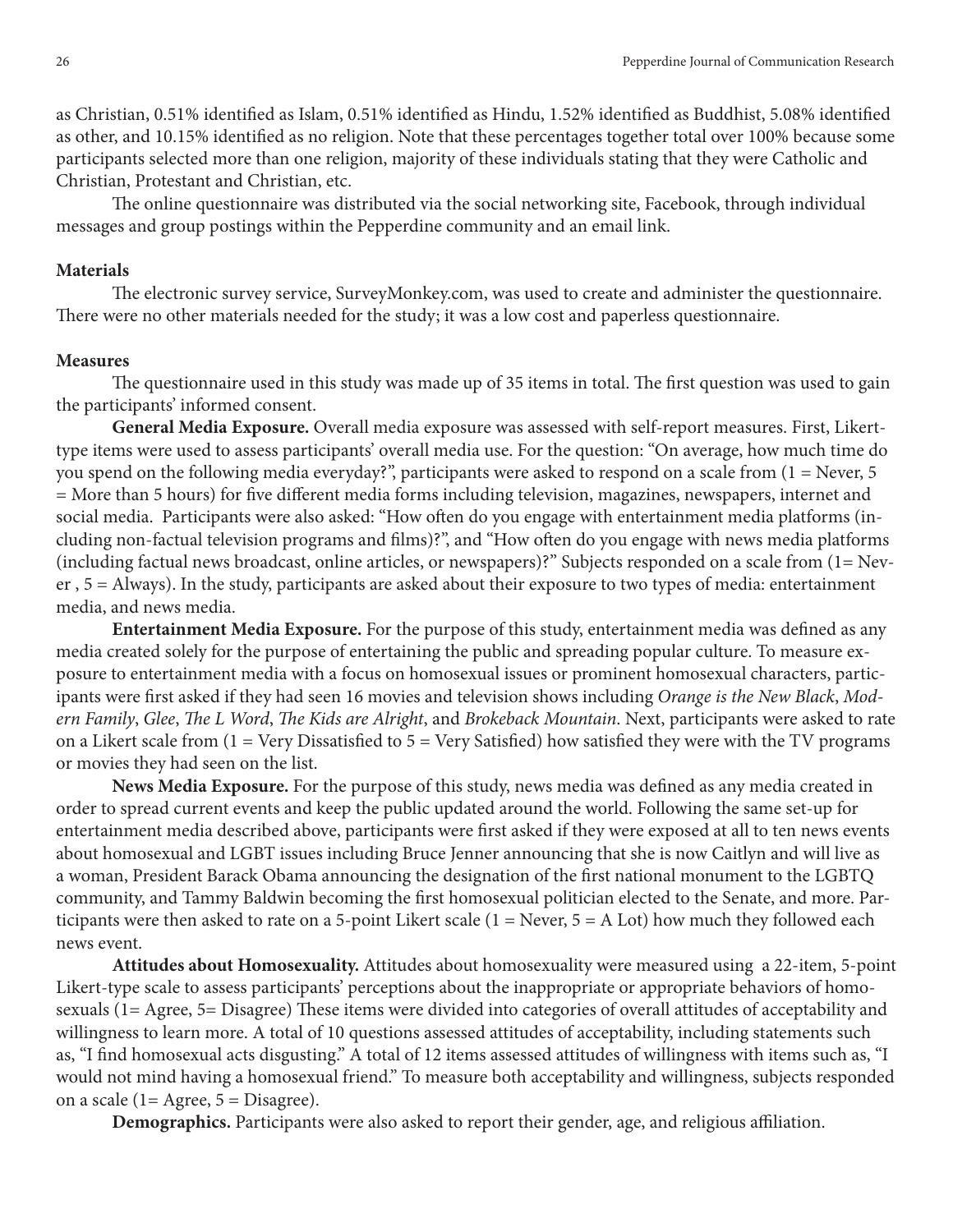as Christian, 0.51% identifed as Islam, 0.51% identifed as Hindu, 1.52% identifed as Buddhist, 5.08% identifed as other, and 10.15% identifed as no religion. Note that these percentages together total over 100% because some participants selected more than one religion, majority of these individuals stating that they were Catholic and Christian, Protestant and Christian, etc.

The online questionnaire was distributed via the social networking site, Facebook, through individual messages and group postings within the Pepperdine community and an email link.

# **Materials**

The electronic survey service, SurveyMonkey.com, was used to create and administer the questionnaire. There were no other materials needed for the study; it was a low cost and paperless questionnaire.

#### **Measures**

The questionnaire used in this study was made up of 35 items in total. The first question was used to gain the participants' informed consent.

**General Media Exposure.** Overall media exposure was assessed with self-report measures. First, Likerttype items were used to assess participants' overall media use. For the question: "On average, how much time do you spend on the following media everyday?", participants were asked to respond on a scale from (1 = Never, 5 = More than 5 hours) for fve diferent media forms including television, magazines, newspapers, internet and social media. Participants were also asked: "How often do you engage with entertainment media platforms (including non-factual television programs and flms)?", and "How ofen do you engage with news media platforms (including factual news broadcast, online articles, or newspapers)?" Subjects responded on a scale from (1= Never , 5 = Always). In the study, participants are asked about their exposure to two types of media: entertainment media, and news media.

**Entertainment Media Exposure.** For the purpose of this study, entertainment media was defned as any media created solely for the purpose of entertaining the public and spreading popular culture. To measure exposure to entertainment media with a focus on homosexual issues or prominent homosexual characters, participants were frst asked if they had seen 16 movies and television shows including *Orange is the New Black*, *Modern Family*, *Glee*, T*e L Word*, T*e Kids are Alright*, and *Brokeback Mountain*. Next, participants were asked to rate on a Likert scale from  $(1 = \text{Very Disatisfied to } 5 = \text{Very Satisfied})$  how satisfied they were with the TV programs or movies they had seen on the list.

**News Media Exposure.** For the purpose of this study, news media was defned as any media created in order to spread current events and keep the public updated around the world. Following the same set-up for entertainment media described above, participants were frst asked if they were exposed at all to ten news events about homosexual and LGBT issues including Bruce Jenner announcing that she is now Caitlyn and will live as a woman, President Barack Obama announcing the designation of the frst national monument to the LGBTQ community, and Tammy Baldwin becoming the frst homosexual politician elected to the Senate, and more. Participants were then asked to rate on a 5-point Likert scale  $(1 = \text{Never}, 5 = \text{A} \text{ Lot})$  how much they followed each news event.

**Attitudes about Homosexuality.** Attitudes about homosexuality were measured using a 22-item, 5-point Likert-type scale to assess participants' perceptions about the inappropriate or appropriate behaviors of homosexuals (1= Agree, 5= Disagree) These items were divided into categories of overall attitudes of acceptability and willingness to learn more. A total of 10 questions assessed attitudes of acceptability, including statements such as, "I fnd homosexual acts disgusting." A total of 12 items assessed attitudes of willingness with items such as, "I would not mind having a homosexual friend." To measure both acceptability and willingness, subjects responded on a scale (1 = Agree,  $5 =$  Disagree).

**Demographics.** Participants were also asked to report their gender, age, and religious afliation.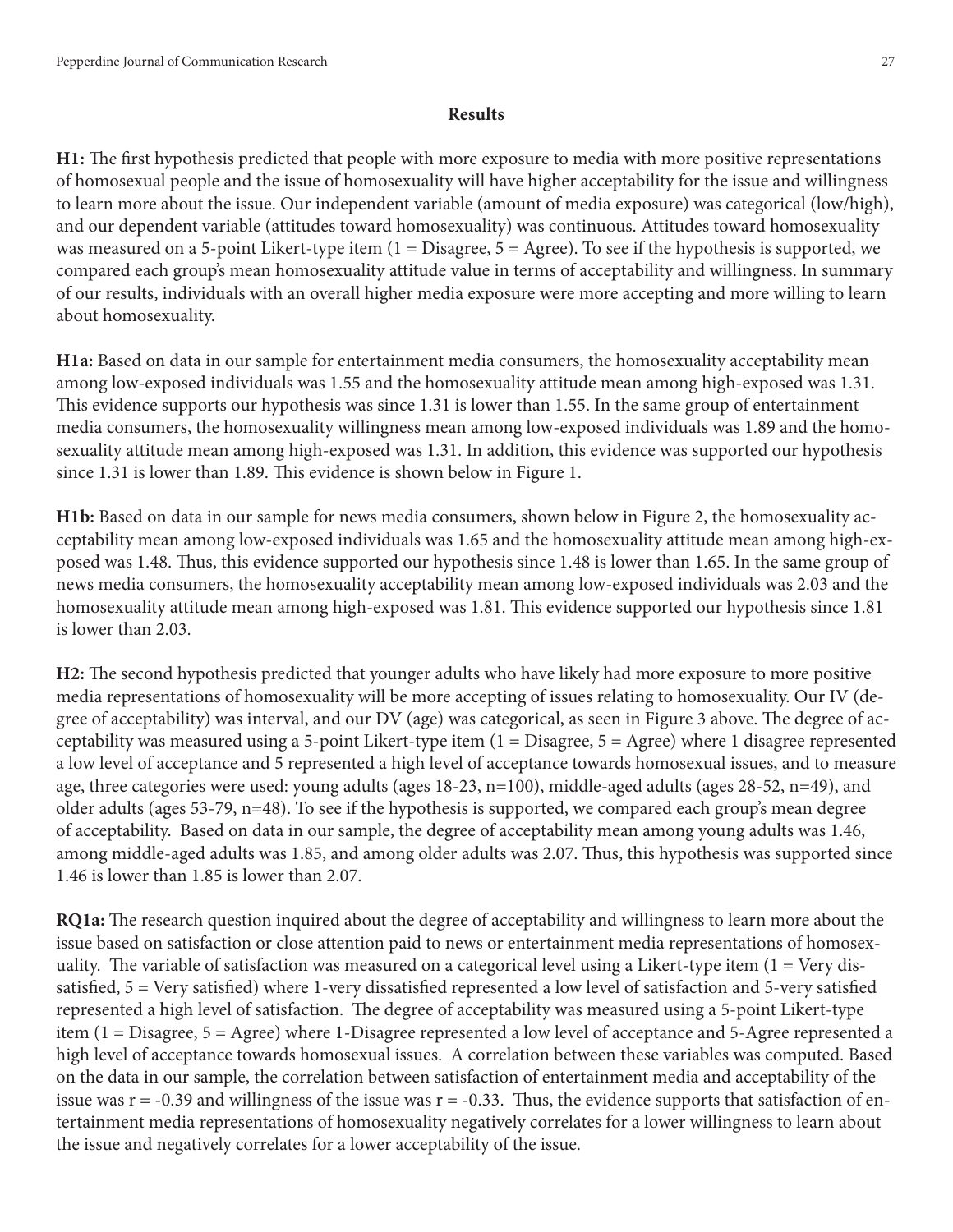# **Results**

**H1:** The first hypothesis predicted that people with more exposure to media with more positive representations of homosexual people and the issue of homosexuality will have higher acceptability for the issue and willingness to learn more about the issue. Our independent variable (amount of media exposure) was categorical (low/high), and our dependent variable (attitudes toward homosexuality) was continuous. Attitudes toward homosexuality was measured on a 5-point Likert-type item (1 = Disagree, 5 = Agree). To see if the hypothesis is supported, we compared each group's mean homosexuality attitude value in terms of acceptability and willingness. In summary of our results, individuals with an overall higher media exposure were more accepting and more willing to learn about homosexuality.

**H1a:** Based on data in our sample for entertainment media consumers, the homosexuality acceptability mean among low-exposed individuals was 1.55 and the homosexuality attitude mean among high-exposed was 1.31. This evidence supports our hypothesis was since 1.31 is lower than 1.55. In the same group of entertainment media consumers, the homosexuality willingness mean among low-exposed individuals was 1.89 and the homosexuality attitude mean among high-exposed was 1.31. In addition, this evidence was supported our hypothesis since 1.31 is lower than 1.89. This evidence is shown below in Figure 1.

**H1b:** Based on data in our sample for news media consumers, shown below in Figure 2, the homosexuality acceptability mean among low-exposed individuals was 1.65 and the homosexuality attitude mean among high-exposed was 1.48. Thus, this evidence supported our hypothesis since 1.48 is lower than 1.65. In the same group of news media consumers, the homosexuality acceptability mean among low-exposed individuals was 2.03 and the homosexuality attitude mean among high-exposed was 1.81. This evidence supported our hypothesis since 1.81 is lower than 2.03.

**H2:** The second hypothesis predicted that younger adults who have likely had more exposure to more positive media representations of homosexuality will be more accepting of issues relating to homosexuality. Our IV (degree of acceptability) was interval, and our DV (age) was categorical, as seen in Figure 3 above. The degree of acceptability was measured using a 5-point Likert-type item (1 = Disagree, 5 = Agree) where 1 disagree represented a low level of acceptance and 5 represented a high level of acceptance towards homosexual issues, and to measure age, three categories were used: young adults (ages 18-23, n=100), middle-aged adults (ages 28-52, n=49), and older adults (ages 53-79, n=48). To see if the hypothesis is supported, we compared each group's mean degree of acceptability. Based on data in our sample, the degree of acceptability mean among young adults was 1.46, among middle-aged adults was 1.85, and among older adults was 2.07. Thus, this hypothesis was supported since 1.46 is lower than 1.85 is lower than 2.07.

**RQ1a:** The research question inquired about the degree of acceptability and willingness to learn more about the issue based on satisfaction or close attention paid to news or entertainment media representations of homosexuality. The variable of satisfaction was measured on a categorical level using a Likert-type item  $(1 = Very$  dissatisfed, 5 = Very satisfed) where 1-very dissatisfed represented a low level of satisfaction and 5-very satisfed represented a high level of satisfaction. The degree of acceptability was measured using a 5-point Likert-type item (1 = Disagree, 5 = Agree) where 1-Disagree represented a low level of acceptance and 5-Agree represented a high level of acceptance towards homosexual issues. A correlation between these variables was computed. Based on the data in our sample, the correlation between satisfaction of entertainment media and acceptability of the issue was  $r = -0.39$  and willingness of the issue was  $r = -0.33$ . Thus, the evidence supports that satisfaction of entertainment media representations of homosexuality negatively correlates for a lower willingness to learn about the issue and negatively correlates for a lower acceptability of the issue.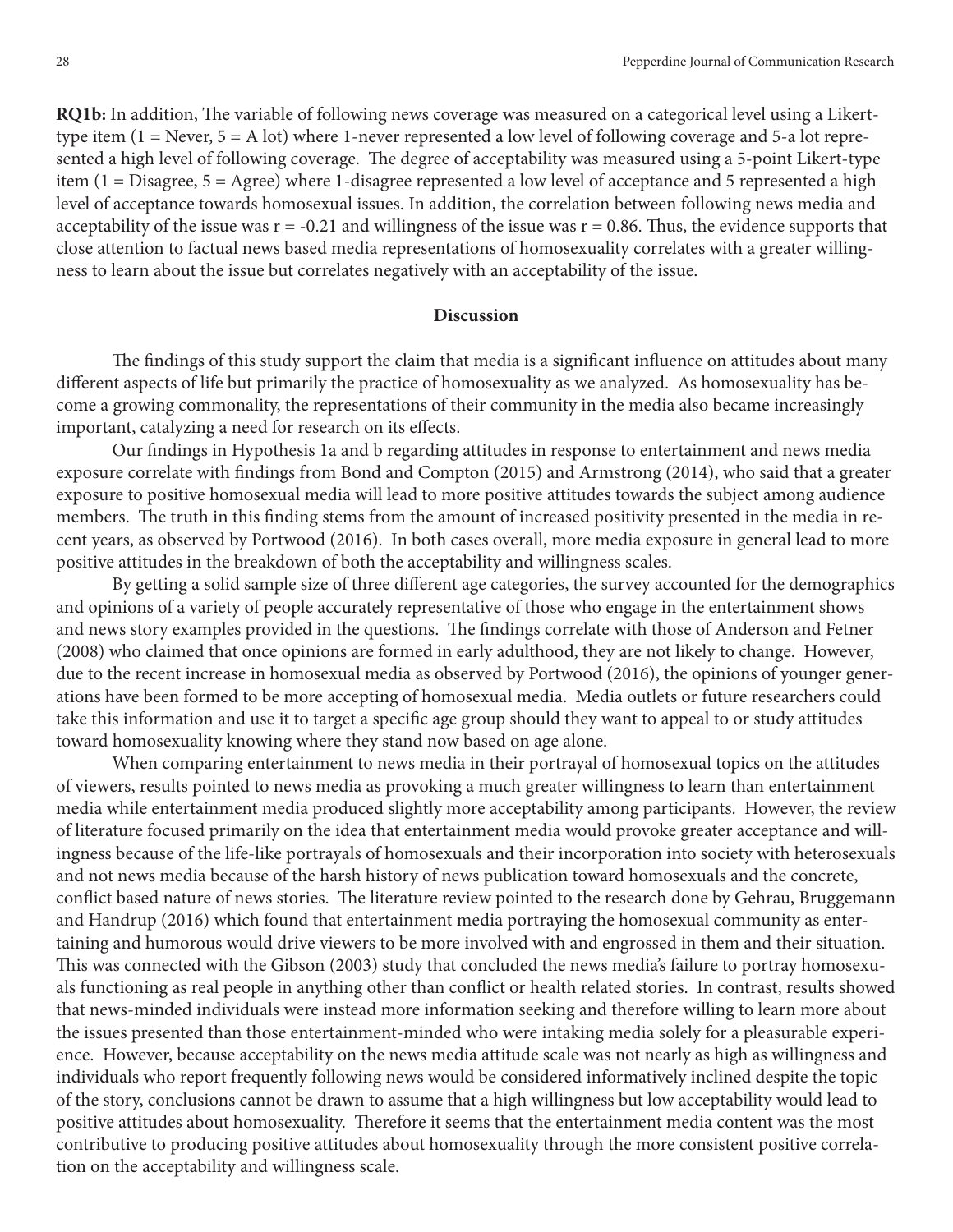**RQ1b:** In addition, The variable of following news coverage was measured on a categorical level using a Likerttype item (1 = Never, 5 = A lot) where 1-never represented a low level of following coverage and 5-a lot represented a high level of following coverage. The degree of acceptability was measured using a 5-point Likert-type item (1 = Disagree, 5 = Agree) where 1-disagree represented a low level of acceptance and 5 represented a high level of acceptance towards homosexual issues. In addition, the correlation between following news media and acceptability of the issue was  $r = -0.21$  and willingness of the issue was  $r = 0.86$ . Thus, the evidence supports that close attention to factual news based media representations of homosexuality correlates with a greater willingness to learn about the issue but correlates negatively with an acceptability of the issue.

# **Discussion**

The findings of this study support the claim that media is a significant influence on attitudes about many diferent aspects of life but primarily the practice of homosexuality as we analyzed. As homosexuality has become a growing commonality, the representations of their community in the media also became increasingly important, catalyzing a need for research on its effects.

Our fndings in Hypothesis 1a and b regarding attitudes in response to entertainment and news media exposure correlate with fndings from Bond and Compton (2015) and Armstrong (2014), who said that a greater exposure to positive homosexual media will lead to more positive attitudes towards the subject among audience members. The truth in this finding stems from the amount of increased positivity presented in the media in recent years, as observed by Portwood (2016). In both cases overall, more media exposure in general lead to more positive attitudes in the breakdown of both the acceptability and willingness scales.

By getting a solid sample size of three diferent age categories, the survey accounted for the demographics and opinions of a variety of people accurately representative of those who engage in the entertainment shows and news story examples provided in the questions. The findings correlate with those of Anderson and Fetner (2008) who claimed that once opinions are formed in early adulthood, they are not likely to change. However, due to the recent increase in homosexual media as observed by Portwood (2016), the opinions of younger generations have been formed to be more accepting of homosexual media. Media outlets or future researchers could take this information and use it to target a specifc age group should they want to appeal to or study attitudes toward homosexuality knowing where they stand now based on age alone.

When comparing entertainment to news media in their portrayal of homosexual topics on the attitudes of viewers, results pointed to news media as provoking a much greater willingness to learn than entertainment media while entertainment media produced slightly more acceptability among participants. However, the review of literature focused primarily on the idea that entertainment media would provoke greater acceptance and willingness because of the life-like portrayals of homosexuals and their incorporation into society with heterosexuals and not news media because of the harsh history of news publication toward homosexuals and the concrete, conflict based nature of news stories. The literature review pointed to the research done by Gehrau, Bruggemann and Handrup (2016) which found that entertainment media portraying the homosexual community as entertaining and humorous would drive viewers to be more involved with and engrossed in them and their situation. This was connected with the Gibson (2003) study that concluded the news media's failure to portray homosexuals functioning as real people in anything other than confict or health related stories. In contrast, results showed that news-minded individuals were instead more information seeking and therefore willing to learn more about the issues presented than those entertainment-minded who were intaking media solely for a pleasurable experience. However, because acceptability on the news media attitude scale was not nearly as high as willingness and individuals who report frequently following news would be considered informatively inclined despite the topic of the story, conclusions cannot be drawn to assume that a high willingness but low acceptability would lead to positive attitudes about homosexuality. Therefore it seems that the entertainment media content was the most contributive to producing positive attitudes about homosexuality through the more consistent positive correlation on the acceptability and willingness scale.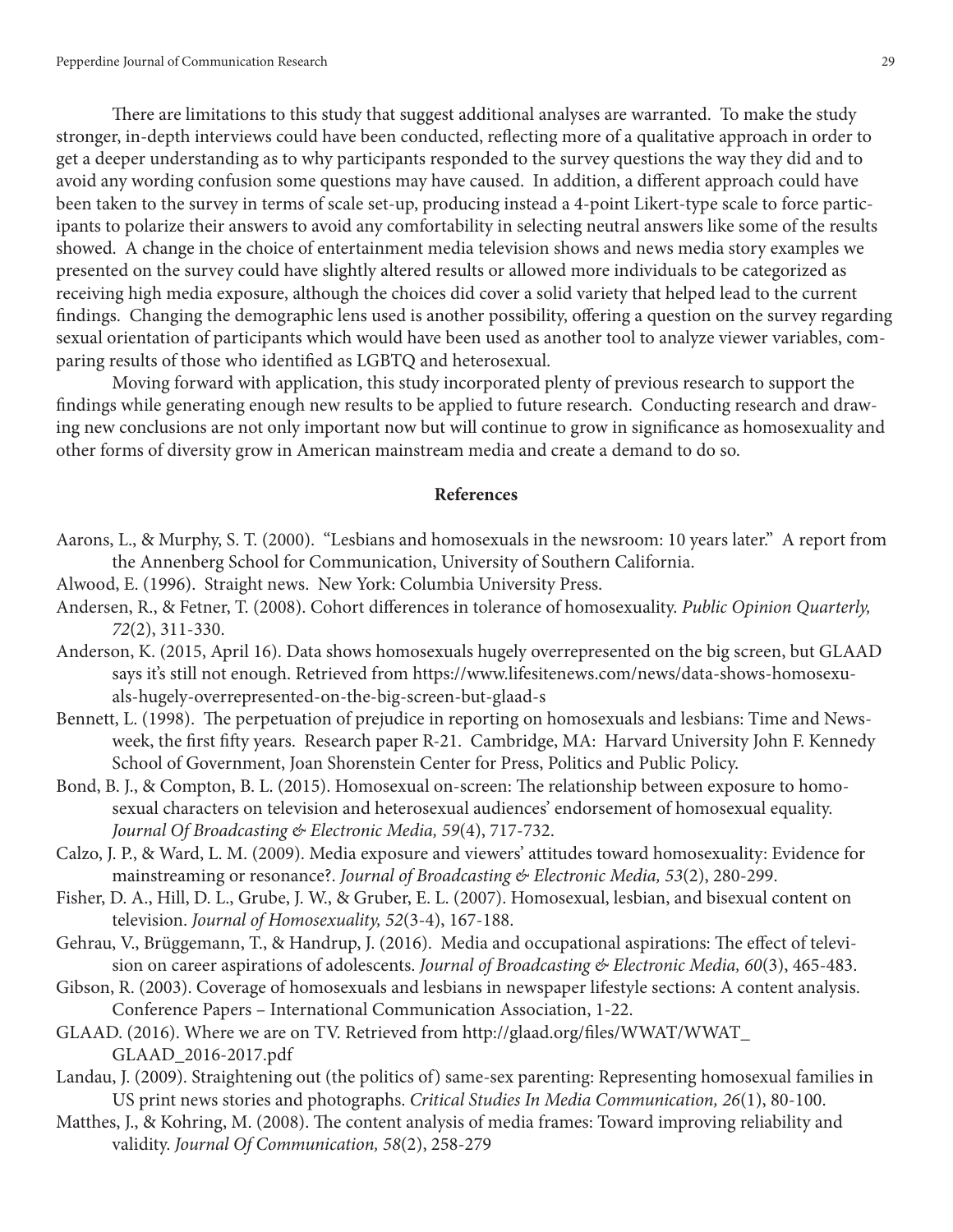There are limitations to this study that suggest additional analyses are warranted. To make the study stronger, in-depth interviews could have been conducted, refecting more of a qualitative approach in order to get a deeper understanding as to why participants responded to the survey questions the way they did and to avoid any wording confusion some questions may have caused. In addition, a diferent approach could have been taken to the survey in terms of scale set-up, producing instead a 4-point Likert-type scale to force participants to polarize their answers to avoid any comfortability in selecting neutral answers like some of the results showed. A change in the choice of entertainment media television shows and news media story examples we presented on the survey could have slightly altered results or allowed more individuals to be categorized as receiving high media exposure, although the choices did cover a solid variety that helped lead to the current findings. Changing the demographic lens used is another possibility, offering a question on the survey regarding sexual orientation of participants which would have been used as another tool to analyze viewer variables, comparing results of those who identifed as LGBTQ and heterosexual.

Moving forward with application, this study incorporated plenty of previous research to support the fndings while generating enough new results to be applied to future research. Conducting research and drawing new conclusions are not only important now but will continue to grow in signifcance as homosexuality and other forms of diversity grow in American mainstream media and create a demand to do so.

# **References**

- Aarons, L., & Murphy, S. T. (2000). "Lesbians and homosexuals in the newsroom: 10 years later." A report from the Annenberg School for Communication, University of Southern California.
- Alwood, E. (1996). Straight news. New York: Columbia University Press.
- Andersen, R., & Fetner, T. (2008). Cohort diferences in tolerance of homosexuality. *Public Opinion Quarterly, 72*(2), 311-330.
- Anderson, K. (2015, April 16). Data shows homosexuals hugely overrepresented on the big screen, but GLAAD says it's still not enough. Retrieved from https://www.lifesitenews.com/news/data-shows-homosexuals-hugely-overrepresented-on-the-big-screen-but-glaad-s
- Bennett, L. (1998). The perpetuation of prejudice in reporting on homosexuals and lesbians: Time and Newsweek, the frst ffy years. Research paper R-21. Cambridge, MA: Harvard University John F. Kennedy School of Government, Joan Shorenstein Center for Press, Politics and Public Policy.
- Bond, B. J., & Compton, B. L. (2015). Homosexual on-screen: The relationship between exposure to homosexual characters on television and heterosexual audiences' endorsement of homosexual equality. *Journal Of Broadcasting & Electronic Media, 59*(4), 717-732.
- Calzo, J. P., & Ward, L. M. (2009). Media exposure and viewers' attitudes toward homosexuality: Evidence for mainstreaming or resonance?. *Journal of Broadcasting & Electronic Media, 53*(2), 280-299.
- Fisher, D. A., Hill, D. L., Grube, J. W., & Gruber, E. L. (2007). Homosexual, lesbian, and bisexual content on television. *Journal of Homosexuality, 52*(3-4), 167-188.
- Gehrau, V., Brüggemann, T., & Handrup, J. (2016). Media and occupational aspirations: The effect of television on career aspirations of adolescents. *Journal of Broadcasting & Electronic Media, 60*(3), 465-483.
- Gibson, R. (2003). Coverage of homosexuals and lesbians in newspaper lifestyle sections: A content analysis. Conference Papers – International Communication Association, 1-22.
- GLAAD. (2016). Where we are on TV. Retrieved from http://glaad.org/fles/WWAT/WWAT\_ GLAAD\_2016-2017.pdf
- Landau, J. (2009). Straightening out (the politics of) same-sex parenting: Representing homosexual families in US print news stories and photographs. *Critical Studies In Media Communication, 26*(1), 80-100.
- Matthes, J., & Kohring, M. (2008). The content analysis of media frames: Toward improving reliability and validity. *Journal Of Communication, 58*(2), 258-279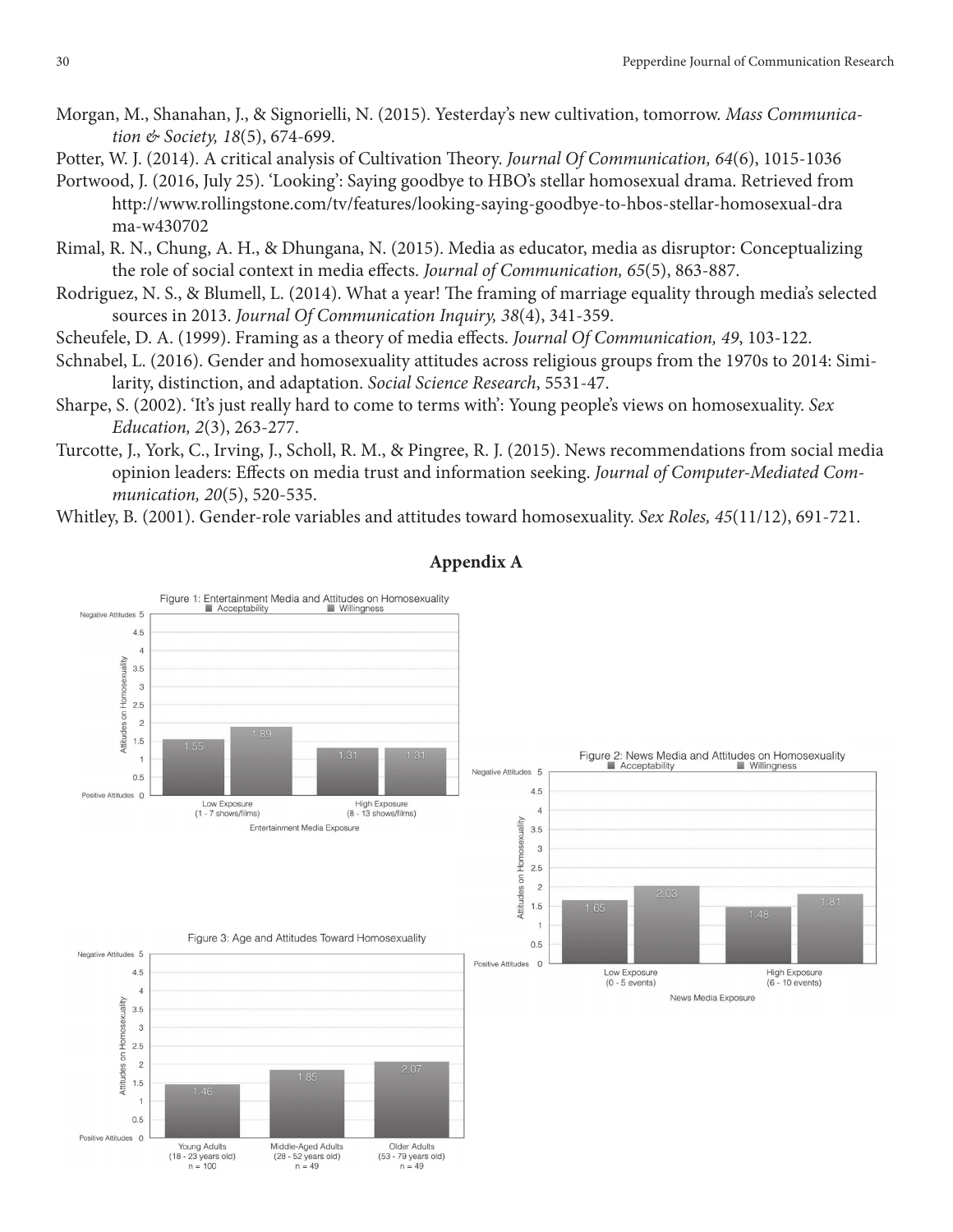- Morgan, M., Shanahan, J., & Signorielli, N. (2015). Yesterday's new cultivation, tomorrow. *Mass Communication & Society, 18*(5), 674-699.
- Potter, W. J. (2014). A critical analysis of Cultivation Theory. *Journal Of Communication*, 64(6), 1015-1036
- Portwood, J. (2016, July 25). 'Looking': Saying goodbye to HBO's stellar homosexual drama. Retrieved from http://www.rollingstone.com/tv/features/looking-saying-goodbye-to-hbos-stellar-homosexual-dra ma-w430702
- Rimal, R. N., Chung, A. H., & Dhungana, N. (2015). Media as educator, media as disruptor: Conceptualizing the role of social context in media efects. *Journal of Communication, 65*(5), 863-887.
- Rodriguez, N. S., & Blumell, L. (2014). What a year! The framing of marriage equality through media's selected sources in 2013. *Journal Of Communication Inquiry, 38*(4), 341-359.
- Scheufele, D. A. (1999). Framing as a theory of media efects. *Journal Of Communication, 49*, 103-122.
- Schnabel, L. (2016). Gender and homosexuality attitudes across religious groups from the 1970s to 2014: Similarity, distinction, and adaptation. *Social Science Research*, 5531-47.
- Sharpe, S. (2002). 'It's just really hard to come to terms with': Young people's views on homosexuality. *Sex Education, 2*(3), 263-277.
- Turcotte, J., York, C., Irving, J., Scholl, R. M., & Pingree, R. J. (2015). News recommendations from social media opinion leaders: Efects on media trust and information seeking. *Journal of Computer-Mediated Communication, 20*(5), 520-535.

Whitley, B. (2001). Gender-role variables and attitudes toward homosexuality. *Sex Roles, 45*(11/12), 691-721.



# **Appendix A**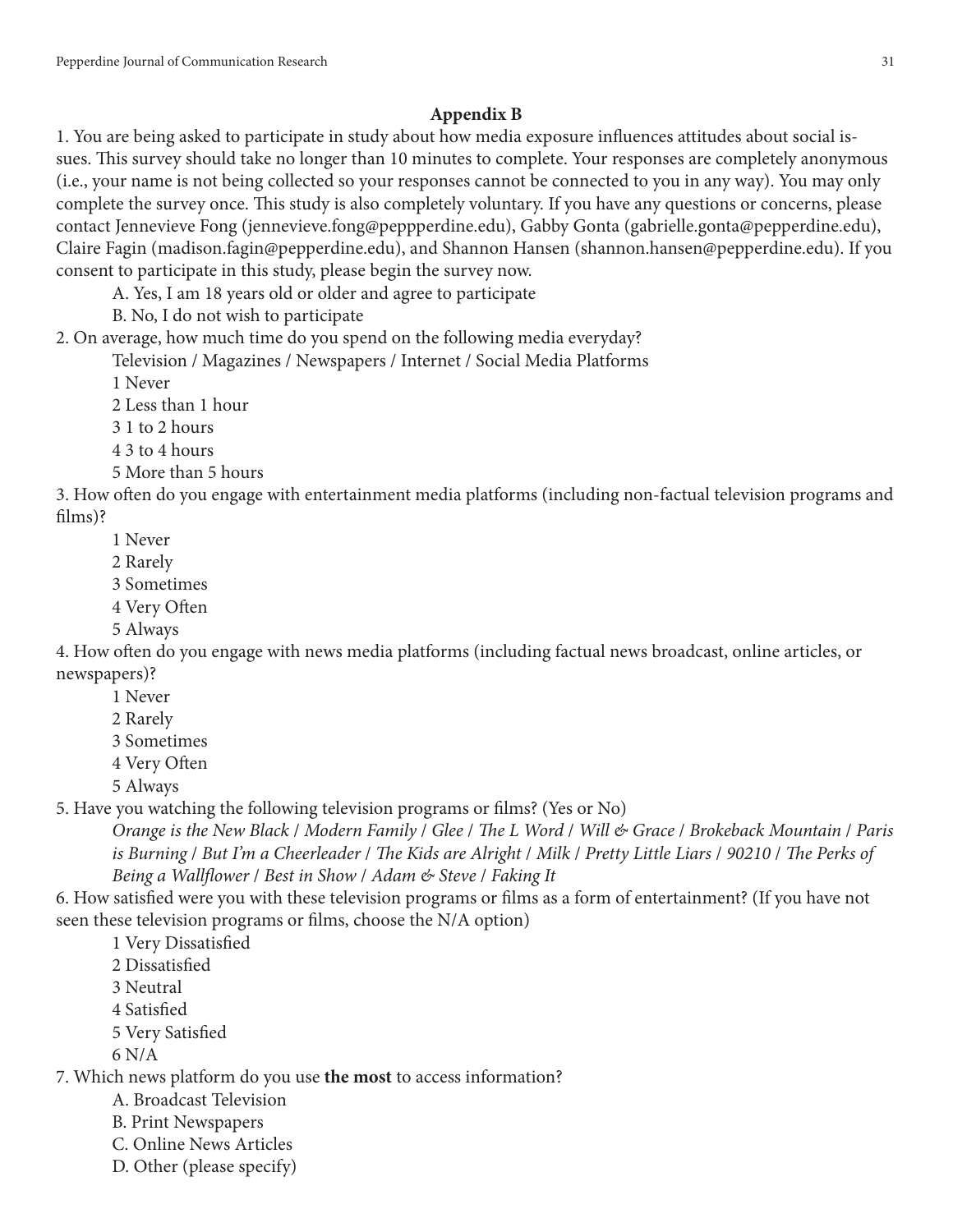# **Appendix B**

1. You are being asked to participate in study about how media exposure infuences attitudes about social issues. This survey should take no longer than 10 minutes to complete. Your responses are completely anonymous (i.e., your name is not being collected so your responses cannot be connected to you in any way). You may only complete the survey once. This study is also completely voluntary. If you have any questions or concerns, please contact Jennevieve Fong (jennevieve.fong@peppperdine.edu), Gabby Gonta (gabrielle.gonta@pepperdine.edu), Claire Fagin (madison.fagin@pepperdine.edu), and Shannon Hansen (shannon.hansen@pepperdine.edu). If you consent to participate in this study, please begin the survey now.

A. Yes, I am 18 years old or older and agree to participate

B. No, I do not wish to participate

2. On average, how much time do you spend on the following media everyday?

Television / Magazines / Newspapers / Internet / Social Media Platforms

1 Never

2 Less than 1 hour

3 1 to 2 hours

4 3 to 4 hours

5 More than 5 hours

3. How ofen do you engage with entertainment media platforms (including non-factual television programs and flms)?

1 Never

- 2 Rarely
- 3 Sometimes
- 4 Very Ofen
- 5 Always

4. How ofen do you engage with news media platforms (including factual news broadcast, online articles, or newspapers)?

- 1 Never
- 2 Rarely
- 3 Sometimes
- 4 Very Ofen
- 5 Always

5. Have you watching the following television programs or flms? (Yes or No)

*Orange is the New Black* / *Modern Family* / *Glee* / T*e L Word* / *Will & Grace* / *Brokeback Mountain* / *Paris is Burning* / *But I'm a Cheerleader* / T*e Kids are Alright* / *Milk* / *Pretty Little Liars* / *90210* / T*e Perks of Being a Wall*f*ower* / *Best in Show* / *Adam & Steve* / *Faking It*

6. How satisfed were you with these television programs or flms as a form of entertainment? (If you have not seen these television programs or flms, choose the N/A option)

1 Very Dissatisfed

- 2 Dissatisfed
- 3 Neutral
- 4 Satisfed
- 5 Very Satisfed
- 6 N/A

7. Which news platform do you use **the most** to access information?

- A. Broadcast Television
- B. Print Newspapers
- C. Online News Articles
- D. Other (please specify)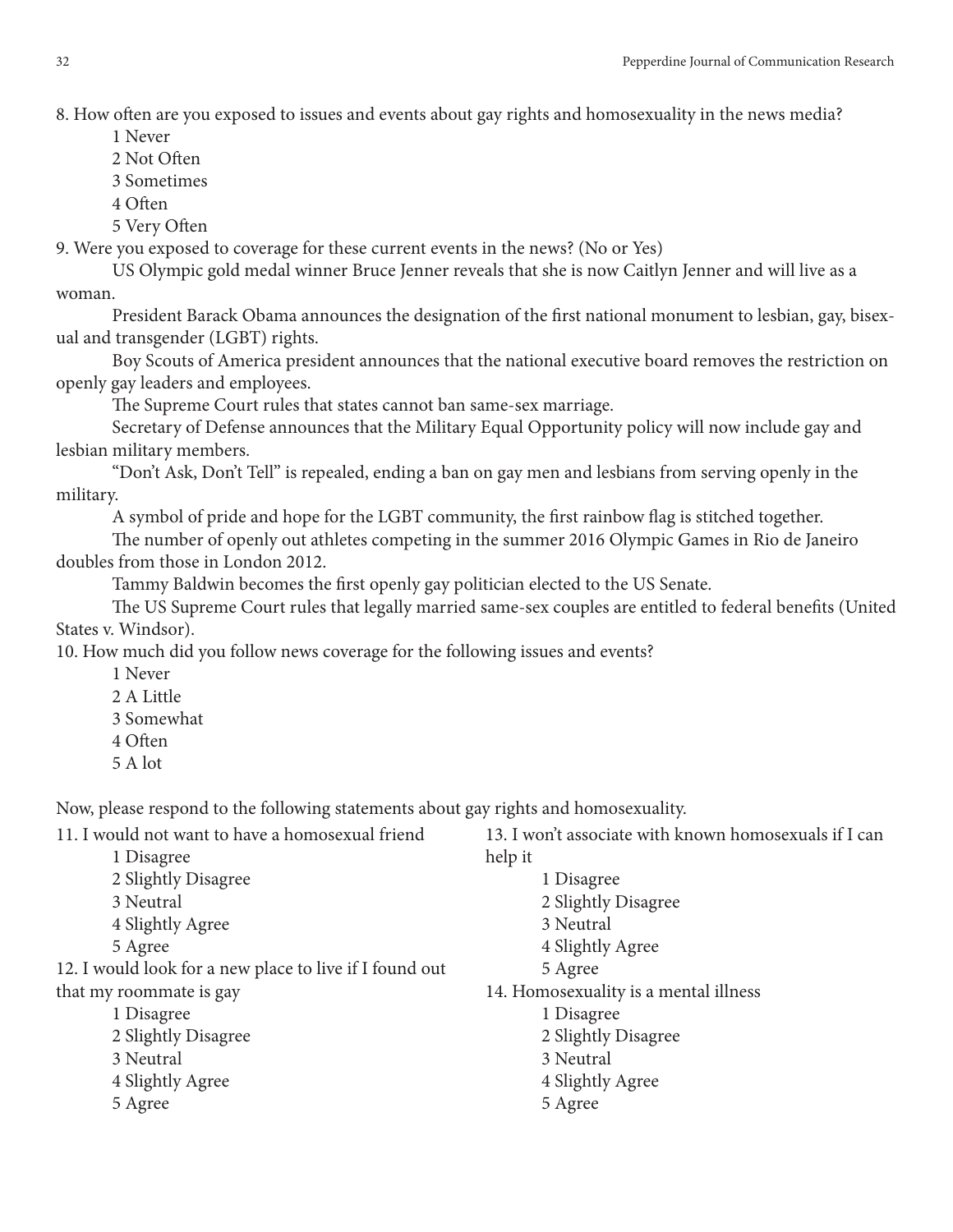8. How often are you exposed to issues and events about gay rights and homosexuality in the news media?

- 1 Never
- 2 Not Ofen
- 3 Sometimes
- 4 Ofen
- 5 Very Ofen

9. Were you exposed to coverage for these current events in the news? (No or Yes)

US Olympic gold medal winner Bruce Jenner reveals that she is now Caitlyn Jenner and will live as a woman.

President Barack Obama announces the designation of the frst national monument to lesbian, gay, bisexual and transgender (LGBT) rights.

Boy Scouts of America president announces that the national executive board removes the restriction on openly gay leaders and employees.

The Supreme Court rules that states cannot ban same-sex marriage.

Secretary of Defense announces that the Military Equal Opportunity policy will now include gay and lesbian military members.

"Don't Ask, Don't Tell" is repealed, ending a ban on gay men and lesbians from serving openly in the military.

A symbol of pride and hope for the LGBT community, the frst rainbow fag is stitched together.

The number of openly out athletes competing in the summer 2016 Olympic Games in Rio de Janeiro doubles from those in London 2012.

Tammy Baldwin becomes the frst openly gay politician elected to the US Senate.

The US Supreme Court rules that legally married same-sex couples are entitled to federal benefits (United States v. Windsor).

10. How much did you follow news coverage for the following issues and events?

- 1 Never
- 2 A Little
- 3 Somewhat
- 4 Ofen
- 5 A lot

Now, please respond to the following statements about gay rights and homosexuality.

| 11. I would not want to have a homosexual friend        | 13. I won't associate with known homosexuals if I can |
|---------------------------------------------------------|-------------------------------------------------------|
| 1 Disagree                                              | help it                                               |
| 2 Slightly Disagree                                     | 1 Disagree                                            |
| 3 Neutral                                               | 2 Slightly Disagree                                   |
| 4 Slightly Agree                                        | 3 Neutral                                             |
| 5 Agree                                                 | 4 Slightly Agree                                      |
| 12. I would look for a new place to live if I found out | 5 Agree                                               |
| that my roommate is gay                                 | 14. Homosexuality is a mental illness                 |
| 1 Disagree                                              | 1 Disagree                                            |
| 2 Slightly Disagree                                     | 2 Slightly Disagree                                   |
| 3 Neutral                                               | 3 Neutral                                             |
| 4 Slightly Agree                                        | 4 Slightly Agree                                      |
| 5 Agree                                                 | 5 Agree                                               |
|                                                         |                                                       |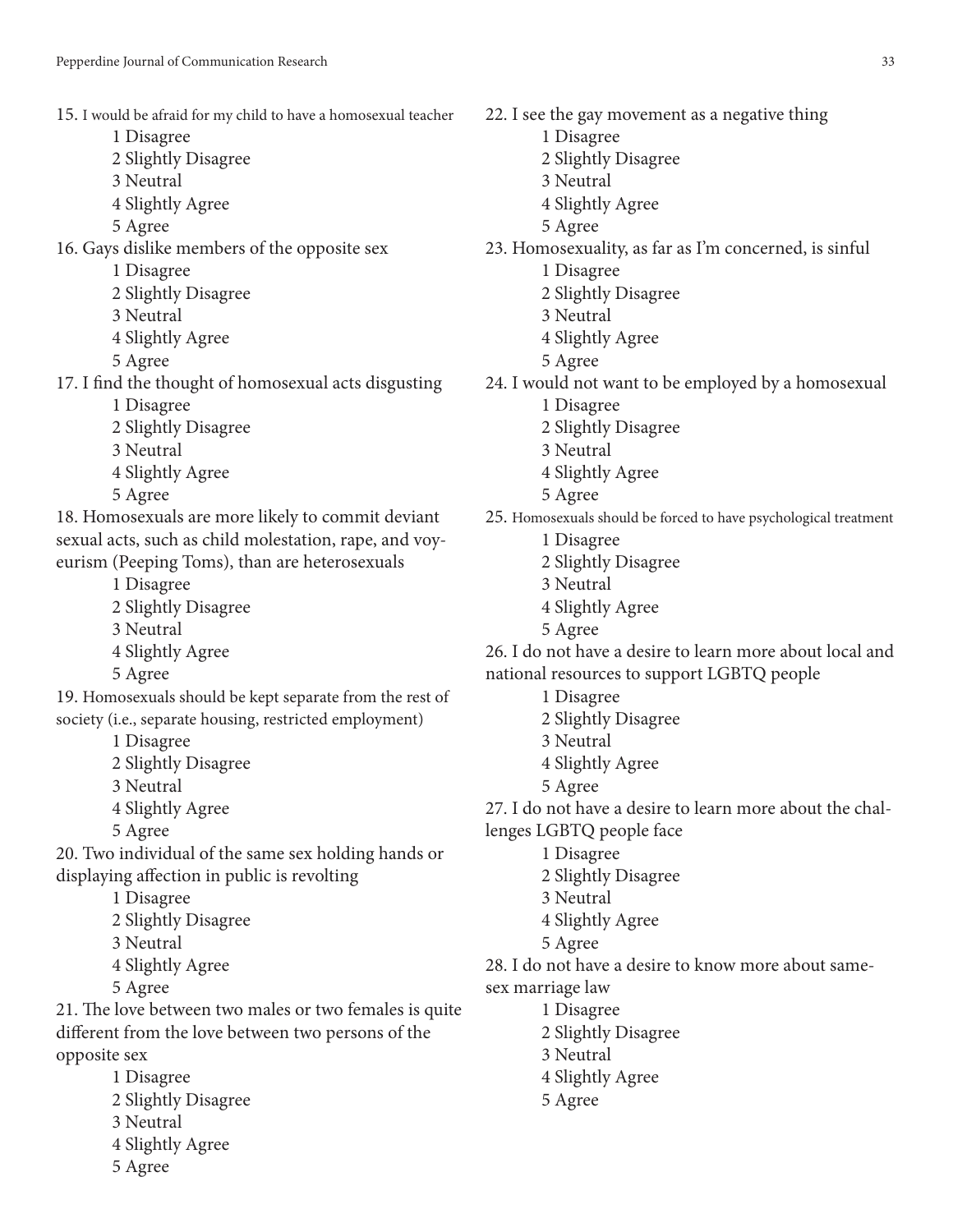- 15. I would be afraid for my child to have a homosexual teacher
	- 1 Disagree
	- 2 Slightly Disagree
	- 3 Neutral
	- 4 Slightly Agree
	- 5 Agree

16. Gays dislike members of the opposite sex

- 1 Disagree
- 2 Slightly Disagree
- 3 Neutral
- 4 Slightly Agree
- 5 Agree

17. I fnd the thought of homosexual acts disgusting 1 Disagree

- 2 Slightly Disagree
- 3 Neutral
- 4 Slightly Agree
- 5 Agree

18. Homosexuals are more likely to commit deviant sexual acts, such as child molestation, rape, and voyeurism (Peeping Toms), than are heterosexuals

- 1 Disagree
- 2 Slightly Disagree
- 3 Neutral
- 4 Slightly Agree
- 5 Agree

19. Homosexuals should be kept separate from the rest of society (i.e., separate housing, restricted employment)

1 Disagree

- 2 Slightly Disagree
- 3 Neutral
- 4 Slightly Agree
- 5 Agree

20. Two individual of the same sex holding hands or displaying afection in public is revolting

1 Disagree

- 2 Slightly Disagree
- 3 Neutral
- 4 Slightly Agree
- 5 Agree

21. The love between two males or two females is quite diferent from the love between two persons of the opposite sex

- 1 Disagree
- 2 Slightly Disagree
- 3 Neutral
- 4 Slightly Agree
- 5 Agree

22. I see the gay movement as a negative thing 1 Disagree 2 Slightly Disagree 3 Neutral 4 Slightly Agree 5 Agree 23. Homosexuality, as far as I'm concerned, is sinful 1 Disagree 2 Slightly Disagree 3 Neutral 4 Slightly Agree 5 Agree 24. I would not want to be employed by a homosexual 1 Disagree 2 Slightly Disagree 3 Neutral 4 Slightly Agree 5 Agree 25. Homosexuals should be forced to have psychological treatment 1 Disagree 2 Slightly Disagree 3 Neutral 4 Slightly Agree 5 Agree 26. I do not have a desire to learn more about local and national resources to support LGBTQ people 1 Disagree 2 Slightly Disagree 3 Neutral 4 Slightly Agree 5 Agree 27. I do not have a desire to learn more about the challenges LGBTQ people face 1 Disagree 2 Slightly Disagree 3 Neutral 4 Slightly Agree 5 Agree 28. I do not have a desire to know more about samesex marriage law 1 Disagree 2 Slightly Disagree 3 Neutral 4 Slightly Agree 5 Agree